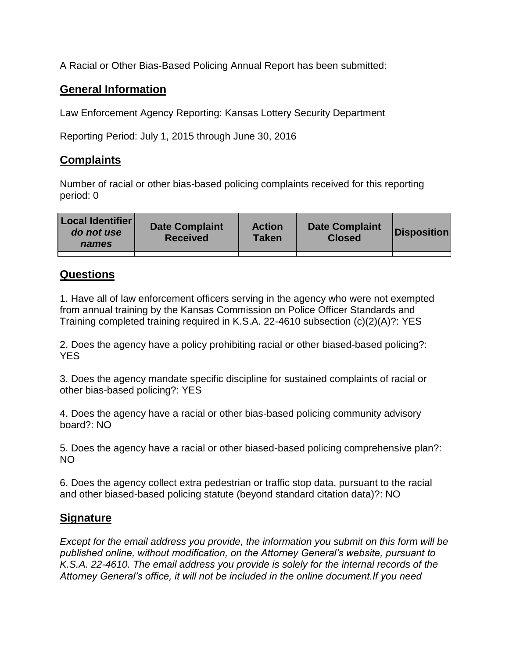A Racial or Other Bias-Based Policing Annual Report has been submitted:

## **General Information**

Law Enforcement Agency Reporting: Kansas Lottery Security Department

Reporting Period: July 1, 2015 through June 30, 2016

## **Complaints**

Number of racial or other bias-based policing complaints received for this reporting period: 0

| <b>Local Identifier</b><br>do not use<br>names | <b>Date Complaint</b><br><b>Received</b> | <b>Action</b><br><b>Taken</b> | <b>Date Complaint</b><br><b>Closed</b> | Disposition |
|------------------------------------------------|------------------------------------------|-------------------------------|----------------------------------------|-------------|
|                                                |                                          |                               |                                        |             |

## **Questions**

1. Have all of law enforcement officers serving in the agency who were not exempted from annual training by the Kansas Commission on Police Officer Standards and Training completed training required in K.S.A. 22-4610 subsection (c)(2)(A)?: YES

2. Does the agency have a policy prohibiting racial or other biased-based policing?: YES

3. Does the agency mandate specific discipline for sustained complaints of racial or other bias-based policing?: YES

4. Does the agency have a racial or other bias-based policing community advisory board?: NO

5. Does the agency have a racial or other biased-based policing comprehensive plan?: NO

6. Does the agency collect extra pedestrian or traffic stop data, pursuant to the racial and other biased-based policing statute (beyond standard citation data)?: NO

## **Signature**

*Except for the email address you provide, the information you submit on this form will be published online, without modification, on the Attorney General's website, pursuant to K.S.A. 22-4610. The email address you provide is solely for the internal records of the Attorney General's office, it will not be included in the online document.If you need*